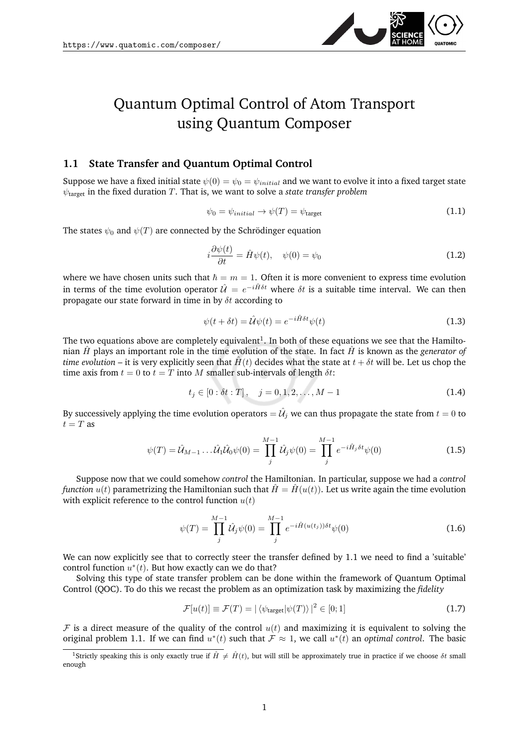<span id="page-0-1"></span>

# Quantum Optimal Control of Atom Transport using Quantum Composer

## **1.1 State Transfer and Quantum Optimal Control**

Suppose we have a fixed initial state  $\psi(0) = \psi_0 = \psi_{initial}$  and we want to evolve it into a fixed target state  $\psi_{\text{target}}$  in the fixed duration T. That is, we want to solve a *state transfer problem* 

$$
\psi_0 = \psi_{initial} \to \psi(T) = \psi_{\text{target}} \tag{1.1}
$$

The states  $\psi_0$  and  $\psi(T)$  are connected by the Schrödinger equation

$$
i\frac{\partial\psi(t)}{\partial t} = \hat{H}\psi(t), \quad \psi(0) = \psi_0 \tag{1.2}
$$

where we have chosen units such that  $\hbar = m = 1$ . Often it is more convenient to express time evolution in terms of the time evolution operator  $\hat{U} = e^{-i\hat{H}\delta t}$  where  $\delta t$  is a suitable time interval. We can then propagate our state forward in time in by  $\delta t$  according to

$$
\psi(t + \delta t) = \hat{\mathcal{U}}\psi(t) = e^{-i\hat{H}\delta t}\psi(t)
$$
\n(1.3)

The two equations above are completely equivalent<sup>[1](#page-0-0)</sup>. In both of these equations we see that the Hamiltonian  $\hat{H}$  plays an important role in the time evolution of the state. In fact  $\hat{H}$  is known as the *generator* of *time evolution* – it is very explicitly seen that  $\hat{H}(t)$  decides what the state at  $t + \delta t$  will be. Let us chop the time axis from  $t = 0$  to  $t = T$  into M smaller sub-intervals of length  $\delta t$ :

$$
t_j \in [0 : \delta t : T], \quad j = 0, 1, 2, \dots, M - 1 \tag{1.4}
$$

By successively applying the time evolution operators  $=$   $\hat{\cal U}_j$  we can thus propagate the state from  $t=0$  to  $t = T$  as

$$
\psi(T) = \hat{\mathcal{U}}_{M-1} \dots \hat{\mathcal{U}}_1 \hat{\mathcal{U}}_0 \psi(0) = \prod_j^{M-1} \hat{\mathcal{U}}_j \psi(0) = \prod_j^{M-1} e^{-i\hat{H}_j \delta t} \psi(0)
$$
\n(1.5)

Suppose now that we could somehow *control* the Hamiltonian. In particular, suppose we had a *control function*  $u(t)$  parametrizing the Hamiltonian such that  $\hat{H} = \hat{H}(u(t))$ . Let us write again the time evolution with explicit reference to the control function  $u(t)$ 

$$
\psi(T) = \prod_{j}^{M-1} \hat{\mathcal{U}}_{j} \psi(0) = \prod_{j}^{M-1} e^{-i\hat{H}(u(t_{j}))\delta t} \psi(0)
$$
\n(1.6)

We can now explicitly see that to correctly steer the transfer defined by [1.1](#page-0-1) we need to find a 'suitable' control function  $u^*(t)$ . But how exactly can we do that?

Solving this type of state transfer problem can be done within the framework of Quantum Optimal Control (QOC). To do this we recast the problem as an optimization task by maximizing the *fidelity*

$$
\mathcal{F}[u(t)] \equiv \mathcal{F}(T) = |\langle \psi_{\text{target}} | \psi(T) \rangle|^2 \in [0; 1] \tag{1.7}
$$

F is a direct measure of the quality of the control  $u(t)$  and maximizing it is equivalent to solving the original problem [1.1.](#page-0-1) If we can find  $u^*(t)$  such that  $\mathcal{F} \approx 1$ , we call  $u^*(t)$  an *optimal control*. The basic

<span id="page-0-0"></span><sup>&</sup>lt;sup>1</sup>Strictly speaking this is only exactly true if  $\hat{H} \neq \hat{H}(t)$ , but will still be approximately true in practice if we choose  $\delta t$  small enough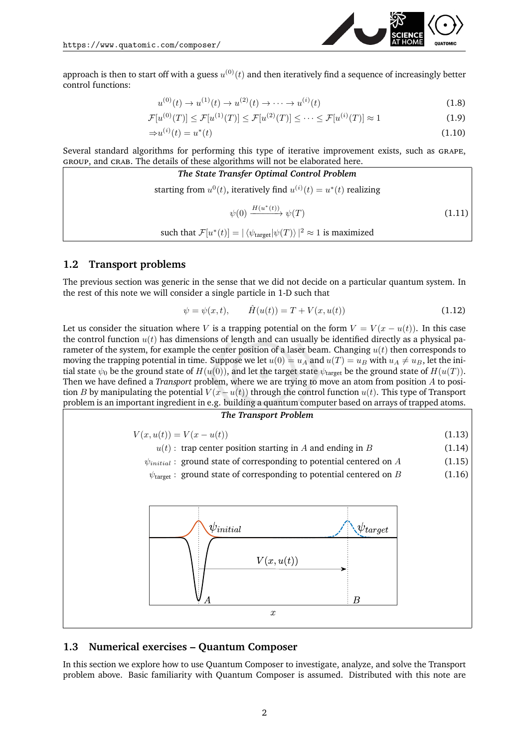control functions:

approach is then to start off with a guess  $u^{(0)}(t)$  and then iteratively find a sequence of increasingly better

$$
u^{(0)}(t) \to u^{(1)}(t) \to u^{(2)}(t) \to \cdots \to u^{(i)}(t)
$$
\n(1.8)

$$
\mathcal{F}[u^{(0)}(T)] \le \mathcal{F}[u^{(1)}(T)] \le \mathcal{F}[u^{(2)}(T)] \le \dots \le \mathcal{F}[u^{(i)}(T)] \approx 1
$$
\n(1.9)

$$
\Rightarrow u^{(i)}(t) = u^*(t) \tag{1.10}
$$

Several standard algorithms for performing this type of iterative improvement exists, such as grape, group, and crab. The details of these algorithms will not be elaborated here.

The State Transfer Optimal Control Problem  
starting from 
$$
u^0(t)
$$
, iteratively find  $u^{(i)}(t) = u^*(t)$  realizing  

$$
\psi(0) \xrightarrow{H(u^*(t))} \psi(T)
$$

$$
(1.11)
$$
such that  $\mathcal{F}[u^*(t)] = |\langle \psi_{\text{target}} | \psi(T) \rangle|^2 \approx 1$  is maximized

### **1.2 Transport problems**

The previous section was generic in the sense that we did not decide on a particular quantum system. In the rest of this note we will consider a single particle in 1-D such that

$$
\psi = \psi(x, t), \qquad \hat{H}(u(t)) = T + V(x, u(t)) \tag{1.12}
$$

Let us consider the situation where V is a trapping potential on the form  $V = V(x - u(t))$ . In this case the control function  $u(t)$  has dimensions of length and can usually be identified directly as a physical parameter of the system, for example the center position of a laser beam. Changing  $u(t)$  then corresponds to moving the trapping potential in time. Suppose we let  $u(0) = u_A$  and  $u(T) = u_B$  with  $u_A \neq u_B$ , let the initial state  $\psi_0$  be the ground state of  $H(u(0))$ , and let the target state  $\psi_{\text{target}}$  be the ground state of  $H(u(T))$ . Then we have defined a *Transport* problem, where we are trying to move an atom from position A to position B by manipulating the potential  $V(x-u(t))$  through the control function  $u(t)$ . This type of Transport problem is an important ingredient in e.g. building a quantum computer based on arrays of trapped atoms.



## **1.3 Numerical exercises – Quantum Composer**

In this section we explore how to use Quantum Composer to investigate, analyze, and solve the Transport problem above. Basic familiarity with Quantum Composer is assumed. Distributed with this note are

<span id="page-1-0"></span>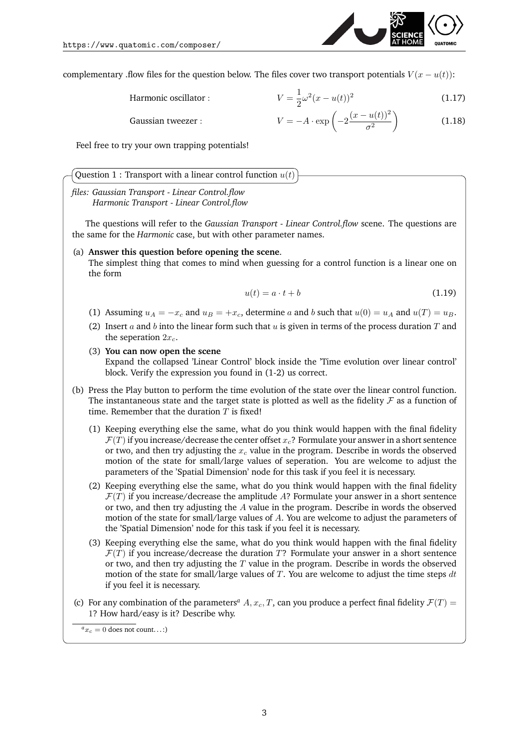

complementary .flow files for the question below. The files cover two transport potentials  $V(x - u(t))$ :

Harmonic oscillator :

$$
V = \frac{1}{2}\omega^2(x - u(t))^2
$$
 (1.17)

Gaussian tweezer :  $V$ 

$$
V = -A \cdot \exp\left(-2\frac{(x - u(t))^2}{\sigma^2}\right) \tag{1.18}
$$

Feel free to try your own trapping potentials!

|  | Question 1 : Transport with a linear control function $u(t)$ |  |  |  |  |  |
|--|--------------------------------------------------------------|--|--|--|--|--|
|--|--------------------------------------------------------------|--|--|--|--|--|

*files: Gaussian Transport - Linear Control.flow* 0 *Harmonic Transport - Linear Control.flow*

The questions will refer to the *Gaussian Transport - Linear Control.flow* scene. The questions are the same for the *Harmonic* case, but with other parameter names.

#### (a) **Answer this question before opening the scene**.

The simplest thing that comes to mind when guessing for a control function is a linear one on the form

$$
u(t) = a \cdot t + b \tag{1.19}
$$

- (1) Assuming  $u_A = -x_c$  and  $u_B = +x_c$ , determine a and b such that  $u(0) = u_A$  and  $u(T) = u_B$ .
- (2) Insert a and b into the linear form such that u is given in terms of the process duration  $T$  and the seperation  $2x_c$ .

#### (3) **You can now open the scene**

Expand the collapsed 'Linear Control' block inside the 'Time evolution over linear control' block. Verify the expression you found in (1-2) us correct.

- (b) Press the Play button to perform the time evolution of the state over the linear control function. The instantaneous state and the target state is plotted as well as the fidelity  $\mathcal F$  as a function of time. Remember that the duration  $T$  is fixed!
	- (1) Keeping everything else the same, what do you think would happen with the final fidelity  $\mathcal{F}(T)$  if you increase/decrease the center offset  $x_c$ ? Formulate your answer in a short sentence or two, and then try adjusting the  $x_c$  value in the program. Describe in words the observed motion of the state for small/large values of seperation. You are welcome to adjust the parameters of the 'Spatial Dimension' node for this task if you feel it is necessary.
	- (2) Keeping everything else the same, what do you think would happen with the final fidelity  $\mathcal{F}(T)$  if you increase/decrease the amplitude A? Formulate your answer in a short sentence or two, and then try adjusting the A value in the program. Describe in words the observed motion of the state for small/large values of A. You are welcome to adjust the parameters of the 'Spatial Dimension' node for this task if you feel it is necessary.
	- (3) Keeping everything else the same, what do you think would happen with the final fidelity  $\mathcal{F}(T)$  if you increase/decrease the duration T? Formulate your answer in a short sentence or two, and then try adjusting the  $T$  value in the program. Describe in words the observed motion of the state for small/large values of  $T$ . You are welcome to adjust the time steps  $dt$ if you feel it is necessary.
- (c) For [a](#page-2-0)ny combination of the parameters<sup>*a*</sup> A,  $x_c$ , T, can you produce a perfect final fidelity  $\mathcal{F}(T)$  = 1? How hard/easy is it? Describe why.

<span id="page-2-0"></span> ${}^a x_c = 0$  does not count...:)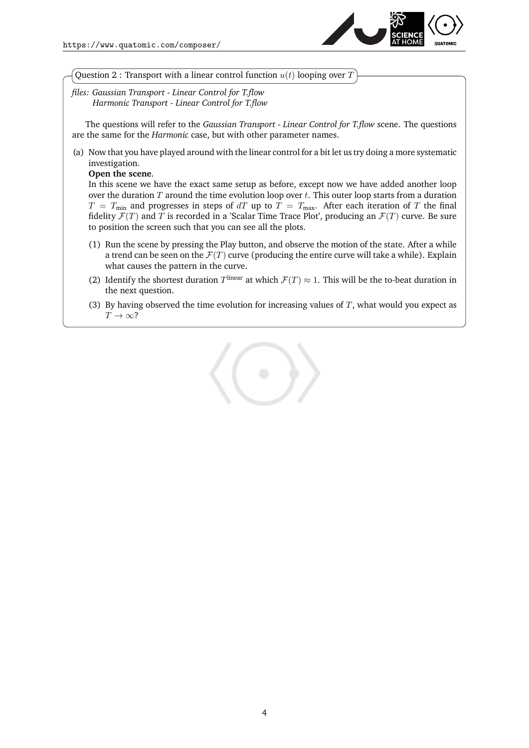

Question 2 : Transport with a linear control function  $u(t)$  looping over T

*files: Gaussian Transport - Linear Control for T.flow* 0 *Harmonic Transport - Linear Control for T.flow*

The questions will refer to the *Gaussian Transport - Linear Control for T.flow* scene. The questions are the same for the *Harmonic* case, but with other parameter names.

(a) Now that you have played around with the linear control for a bit let us try doing a more systematic investigation.

**Open the scene**.

In this scene we have the exact same setup as before, except now we have added another loop over the duration  $T$  around the time evolution loop over  $t$ . This outer loop starts from a duration  $T = T_{\text{min}}$  and progresses in steps of dT up to  $T = T_{\text{max}}$ . After each iteration of T the final fidelity  $\mathcal{F}(T)$  and T is recorded in a 'Scalar Time Trace Plot', producing an  $\mathcal{F}(T)$  curve. Be sure to position the screen such that you can see all the plots.

- (1) Run the scene by pressing the Play button, and observe the motion of the state. After a while a trend can be seen on the  $\mathcal{F}(T)$  curve (producing the entire curve will take a while). Explain what causes the pattern in the curve.
- (2) Identify the shortest duration  $T^{\text{linear}}$  at which  $\mathcal{F}(T) \approx 1$ . This will be the to-beat duration in the next question.
- (3) By having observed the time evolution for increasing values of  $T$ , what would you expect as  $T \to \infty$ ?

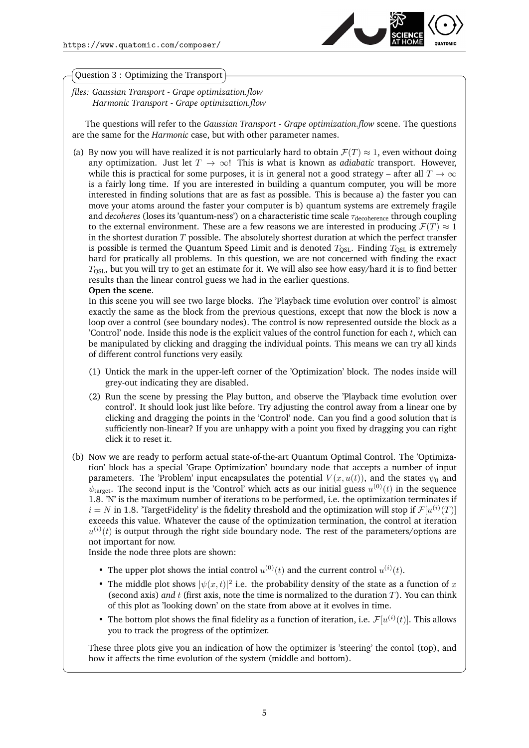

### Question 3 : Optimizing the Transport

*files: Gaussian Transport - Grape optimization.flow* 0 *Harmonic Transport - Grape optimization.flow*

The questions will refer to the *Gaussian Transport - Grape optimization.flow* scene. The questions are the same for the *Harmonic* case, but with other parameter names.

(a) By now you will have realized it is not particularly hard to obtain  $\mathcal{F}(T) \approx 1$ , even without doing any optimization. Just let  $T \to \infty$ ! This is what is known as *adiabatic* transport. However, while this is practical for some purposes, it is in general not a good strategy – after all  $T \to \infty$ is a fairly long time. If you are interested in building a quantum computer, you will be more interested in finding solutions that are as fast as possible. This is because a) the faster you can move your atoms around the faster your computer is b) quantum systems are extremely fragile and *decoheres* (loses its 'quantum-ness') on a characteristic time scale τ<sub>decoherence</sub> through coupling to the external environment. These are a few reasons we are interested in producing  $\mathcal{F}(T) \approx 1$ in the shortest duration  $T$  possible. The absolutely shortest duration at which the perfect transfer is possible is termed the Quantum Speed Limit and is denoted  $T_{\text{OSL}}$ . Finding  $T_{\text{OSL}}$  is extremely hard for pratically all problems. In this question, we are not concerned with finding the exact  $T<sub>OSL</sub>$ , but you will try to get an estimate for it. We will also see how easy/hard it is to find better results than the linear control guess we had in the earlier questions.

#### **Open the scene**.

In this scene you will see two large blocks. The 'Playback time evolution over control' is almost exactly the same as the block from the previous questions, except that now the block is now a loop over a control (see boundary nodes). The control is now represented outside the block as a 'Control' node. Inside this node is the explicit values of the control function for each  $t$ , which can be manipulated by clicking and dragging the individual points. This means we can try all kinds of different control functions very easily.

- (1) Untick the mark in the upper-left corner of the 'Optimization' block. The nodes inside will grey-out indicating they are disabled.
- (2) Run the scene by pressing the Play button, and observe the 'Playback time evolution over control'. It should look just like before. Try adjusting the control away from a linear one by clicking and dragging the points in the 'Control' node. Can you find a good solution that is sufficiently non-linear? If you are unhappy with a point you fixed by dragging you can right click it to reset it.
- (b) Now we are ready to perform actual state-of-the-art Quantum Optimal Control. The 'Optimization' block has a special 'Grape Optimization' boundary node that accepts a number of input parameters. The 'Problem' input encapsulates the potential  $V(x, u(t))$ , and the states  $\psi_0$  and  $\psi_{\text{target}}$ . The second input is the 'Control' which acts as our initial guess  $u^{(0)}(t)$  in the sequence [1.8.](#page-1-0) 'N' is the maximum number of iterations to be performed, i.e. the optimization terminates if  $i = N$  in [1.8.](#page-1-0) 'TargetFidelity' is the fidelity threshold and the optimization will stop if  $\mathcal{F}[u^{(i)}(T)]$ exceeds this value. Whatever the cause of the optimization termination, the control at iteration  $u^{(i)}(t)$  is output through the right side boundary node. The rest of the parameters/options are not important for now.

Inside the node three plots are shown:

- The upper plot shows the intial control  $u^{(0)}(t)$  and the current control  $u^{(i)}(t)$ .
- The middle plot shows  $|\psi(x,t)|^2$  i.e. the probability density of the state as a function of x (second axis) *and* t (first axis, note the time is normalized to the duration T). You can think of this plot as 'looking down' on the state from above at it evolves in time.
- The bottom plot shows the final fidelity as a function of iteration, i.e.  $\mathcal{F}[u^{(i)}(t)]$ . This allows you to track the progress of the optimizer.

These three plots give you an indication of how the optimizer is 'steering' the contol (top), and how it affects the time evolution of the system (middle and bottom).